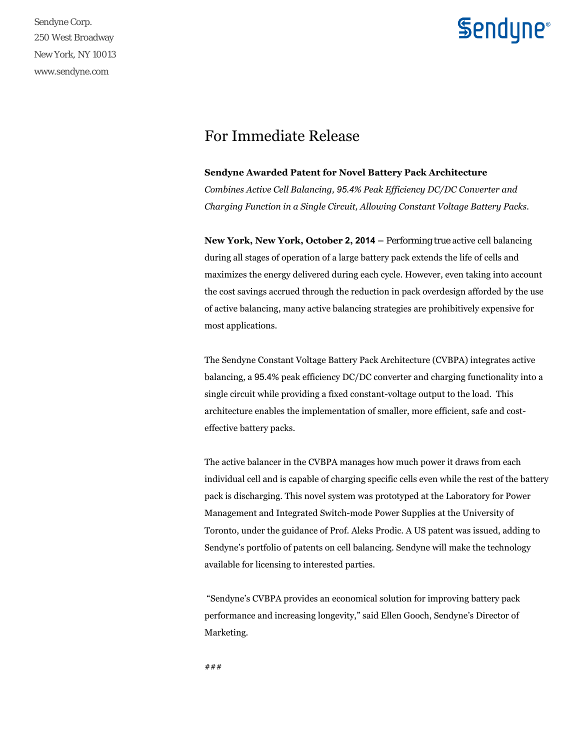Sendyne Corp. 250 West Broadway New York, NY 10013 www.sendyne.com

## **Sendyne**®

### For Immediate Release

#### **Sendyne Awarded Patent for Novel Battery Pack Architecture**

*Combines Active Cell Balancing, 95.4% Peak Efficiency DC/DC Converter and Charging Function in a Single Circuit, Allowing Constant Voltage Battery Packs.*

**New York, New York, October 2, 2014 –** Performing true active cell balancing during all stages of operation of a large battery pack extends the life of cells and maximizes the energy delivered during each cycle. However, even taking into account the cost savings accrued through the reduction in pack overdesign afforded by the use of active balancing, many active balancing strategies are prohibitively expensive for most applications.

The Sendyne Constant Voltage Battery Pack Architecture (CVBPA) integrates active balancing, a 95.4% peak efficiency DC/DC converter and charging functionality into a single circuit while providing a fixed constant-voltage output to the load. This architecture enables the implementation of smaller, more efficient, safe and costeffective battery packs.

The active balancer in the CVBPA manages how much power it draws from each individual cell and is capable of charging specific cells even while the rest of the battery pack is discharging. This novel system was prototyped at the Laboratory for Power Management and Integrated Switch-mode Power Supplies at the University of Toronto, under the guidance of Prof. Aleks Prodic. A US patent was issued, adding to Sendyne's portfolio of patents on cell balancing. Sendyne will make the technology available for licensing to interested parties.

 "Sendyne's CVBPA provides an economical solution for improving battery pack performance and increasing longevity," said Ellen Gooch, Sendyne's Director of Marketing.